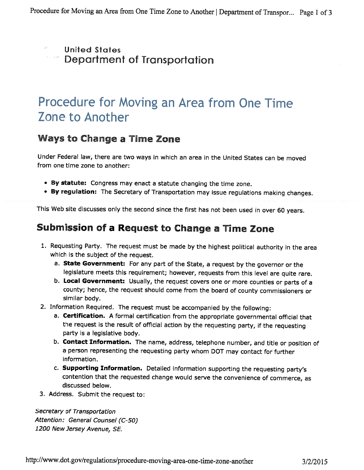- United States
- Department of Transportation

# Procedure for Moving an Area from One Time Zone to Another

#### Ways to Change <sup>a</sup> Time Zone

Under Federal law, there are two ways in which an area in the United States can be moved from one time zone to another:

- By statute: Congress may enact <sup>a</sup> statute changing the time zone.
- By regulation: The Secretary of Transportation may issue regulations making changes.

This Web site discusses only the second since the first has not been used in over <sup>60</sup> years.

## Submission of <sup>a</sup> Request to Change <sup>a</sup> Time Zone

- 1. Requesting Party. The request must be made by the highest political authority in the area which is the subject of the request.
	- a. State Government: For any part of the State, a request by the governor or the legislature meets this requirement; however, requests from this level are quite rare.
	- b. Local Government: Usually, the request covers one or more counties or parts of <sup>a</sup> county; hence, the request should come from the board of county commissioners or similar body.
- 2. Information Required. The request must be accompanied by the following:
	- a. Certification. <sup>A</sup> formal certification from the appropriate governmental official that the request is the result of official action by the requesting party, if the requesting party is <sup>a</sup> legislative body.
	- b. Contact Information. The name, address, telephone number, and title or position of <sup>a</sup> person representing the requesting party whom DOT may contact for further information.
	- c. Supporting Information. Detailed information supporting the requesting party's contention that the requested change would serve the convenience of commerce, as discussed below.
- 3. Address. Submit the request to:

Secretary of Transportation Attention: General Counsel (C-50) 1200 New Jersey Avenue, SE.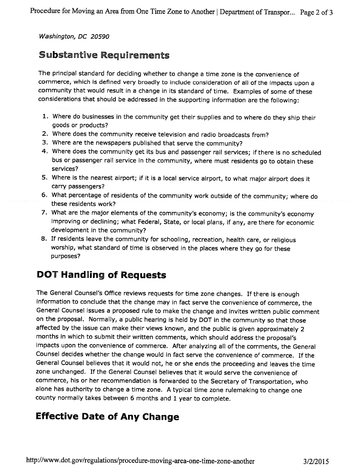Washington, DC 20590

### Substantive Requirements

The principal standard for deciding whether to change <sup>a</sup> time zone is the convenience of commerce, which is defined very broadly to include consideration of all of the impacts upon <sup>a</sup> community that would result in <sup>a</sup> change in its standard of time. Examples of some of these considerations that should be addressed in the supporting information are the following:

- 1. Where do businesses in the community get their supplies and to where do they ship their goods or products?
- 2. Where does the community receive television and radio broadcasts from?
- 3. Where are the newspapers published that serve the community?
- 4. Where does the community get its bus and passenger rail services; if there is no scheduled bus or passenger rail service in the community, where must residents go to obtain these services?
- 5. Where is the nearest airport; if it is <sup>a</sup> local service airport, to what major airport does it carry passengers?
- 6. What percentage of residents of the community work outside of the community; where do these residents work?
- 7. What are the major elements of the community's economy; is the community's economy improving or declining; what Federal, State, or local <sup>p</sup>lans, if any, are there for economic development in the community?
- 8. If residents leave the community for schooling, recreation, health care, or religious worship, what standard of time is observed in the <sup>p</sup>laces where they go for these purposes?

## DOT Handling of Requests

The General Counsel's Office reviews requests for time zone changes. If there is enoug<sup>h</sup> information to conclude that the change may in fact serve the convenience of commerce, the General Counsel issues <sup>a</sup> proposed rule to make the change and invites written public comment on the proposal. Normally, <sup>a</sup> public hearing is held by DOT in the community so that those affected by the issue can make their views known, and the public is <sup>g</sup>iven approximately <sup>2</sup> months in which to submit their written comments, which should address the proposal's impacts upon the convenience of commerce. After analyzing all of the comments, the General Counsel decides whether the change would in fact serve the convenience of commerce. If the General Counsel believes that it would not, he or she ends the proceeding and leaves the time zone unchanged. If the General Counsel believes that it would serve the convenience of commerce, his or her recommendation is forwarded to the Secretary of Transportation, who alone has authority to change <sup>a</sup> time zone. <sup>A</sup> typical time zone rulemaking to change one county normally takes between <sup>6</sup> months and <sup>1</sup> year to complete.

## Effective Date of Any Change